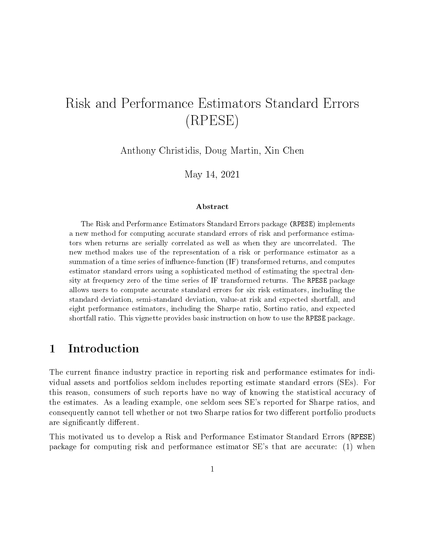# Risk and Performance Estimators Standard Errors (RPESE)

Anthony Christidis, Doug Martin, Xin Chen

May 14, 2021

#### Abstract

The Risk and Performance Estimators Standard Errors package (RPESE) implements a new method for computing accurate standard errors of risk and performance estimators when returns are serially correlated as well as when they are uncorrelated. The new method makes use of the representation of a risk or performance estimator as a summation of a time series of influence-function  $(IF)$  transformed returns, and computes estimator standard errors using a sophisticated method of estimating the spectral density at frequency zero of the time series of IF transformed returns. The RPESE package allows users to compute accurate standard errors for six risk estimators, including the standard deviation, semi-standard deviation, value-at risk and expected shortfall, and eight performance estimators, including the Sharpe ratio, Sortino ratio, and expected shortfall ratio. This vignette provides basic instruction on how to use the RPESE package.

### 1 Introduction

The current finance industry practice in reporting risk and performance estimates for individual assets and portfolios seldom includes reporting estimate standard errors (SEs). For this reason, consumers of such reports have no way of knowing the statistical accuracy of the estimates. As a leading example, one seldom sees SE's reported for Sharpe ratios, and consequently cannot tell whether or not two Sharpe ratios for two different portfolio products are significantly different.

This motivated us to develop a Risk and Performance Estimator Standard Errors (RPESE) package for computing risk and performance estimator SE's that are accurate: (1) when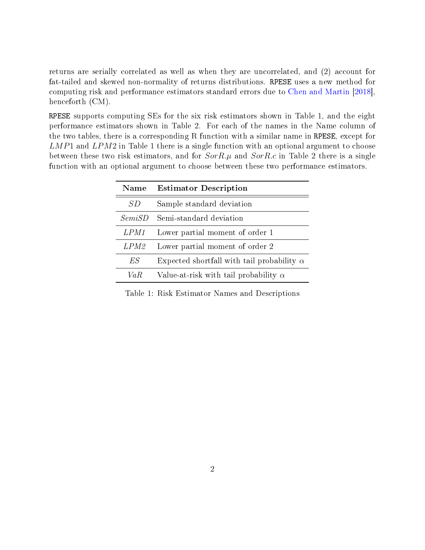returns are serially correlated as well as when they are uncorrelated, and (2) account for fat-tailed and skewed non-normality of returns distributions. RPESE uses a new method for computing risk and performance estimators standard errors due to [Chen and Martin](#page-17-0) [\[2018\]](#page-17-0), henceforth (CM).

RPESE supports computing SEs for the six risk estimators shown in Table 1, and the eight performance estimators shown in Table 2. For each of the names in the Name column of the two tables, there is a corresponding R function with a similar name in RPESE, except for  $LMP1$  and  $LPM2$  in Table 1 there is a single function with an optional argument to choose between these two risk estimators, and for  $SorR.\mu$  and  $SorR.c$  in Table 2 there is a single function with an optional argument to choose between these two performance estimators.

| Name        | <b>Estimator Description</b>                      |
|-------------|---------------------------------------------------|
| S D         | Sample standard deviation                         |
| SemiSD      | Semi-standard deviation                           |
| LPM1        | Lower partial moment of order 1                   |
| <i>LPM2</i> | Lower partial moment of order 2                   |
| ES          | Expected shortfall with tail probability $\alpha$ |
| Va R        | Value-at-risk with tail probability $\alpha$      |

Table 1: Risk Estimator Names and Descriptions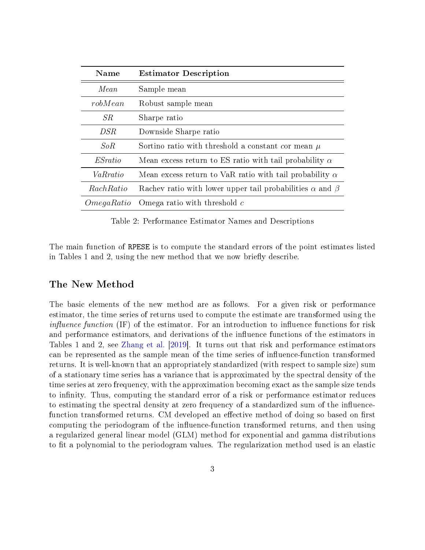| Name           | <b>Estimator Description</b>                                          |
|----------------|-----------------------------------------------------------------------|
| Mean           | Sample mean                                                           |
| robMean        | Robust sample mean                                                    |
| SR.            | Sharpe ratio                                                          |
| DSR            | Downside Sharpe ratio                                                 |
| SoR            | Sortino ratio with threshold a constant cor mean $\mu$                |
| <i>ESratio</i> | Mean excess return to ES ratio with tail probability $\alpha$         |
| VaRratio       | Mean excess return to VaR ratio with tail probability $\alpha$        |
| RachRatio      | Rachev ratio with lower upper tail probabilities $\alpha$ and $\beta$ |
| OmegaRatio     | Omega ratio with threshold $c$                                        |

Table 2: Performance Estimator Names and Descriptions

The main function of RPESE is to compute the standard errors of the point estimates listed in Tables 1 and 2, using the new method that we now briefly describe.

#### The New Method

The basic elements of the new method are as follows. For a given risk or performance estimator, the time series of returns used to compute the estimate are transformed using the *influence function* (IF) of the estimator. For an introduction to influence functions for risk and performance estimators, and derivations of the influence functions of the estimators in Tables 1 and 2, see [Zhang et al.](#page-17-1) [\[2019\]](#page-17-1). It turns out that risk and performance estimators can be represented as the sample mean of the time series of influence-function transformed returns. It is well-known that an appropriately standardized (with respect to sample size) sum of a stationary time series has a variance that is approximated by the spectral density of the time series at zero frequency, with the approximation becoming exact as the sample size tends to infinity. Thus, computing the standard error of a risk or performance estimator reduces to estimating the spectral density at zero frequency of a standardized sum of the influencefunction transformed returns. CM developed an effective method of doing so based on first computing the periodogram of the influence-function transformed returns, and then using a regularized general linear model (GLM) method for exponential and gamma distributions to fit a polynomial to the periodogram values. The regularization method used is an elastic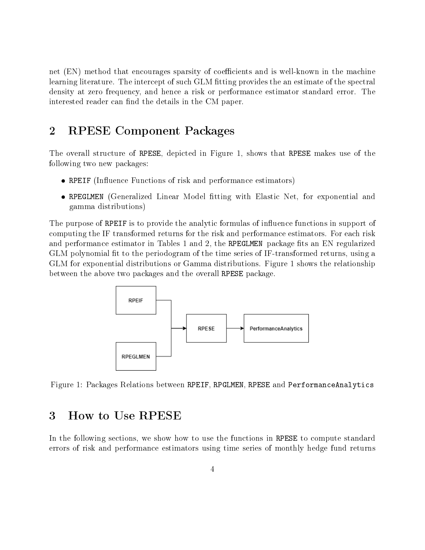net (EN) method that encourages sparsity of coefficients and is well-known in the machine learning literature. The intercept of such GLM tting provides the an estimate of the spectral density at zero frequency, and hence a risk or performance estimator standard error. The interested reader can find the details in the CM paper.

### 2 RPESE Component Packages

The overall structure of RPESE, depicted in Figure 1, shows that RPESE makes use of the following two new packages:

- RPEIF (Influence Functions of risk and performance estimators)
- RPEGLMEN (Generalized Linear Model tting with Elastic Net, for exponential and gamma distributions)

The purpose of RPEIF is to provide the analytic formulas of influence functions in support of computing the IF transformed returns for the risk and performance estimators. For each risk and performance estimator in Tables 1 and 2, the RPEGLMEN package fits an EN regularized GLM polynomial fit to the periodogram of the time series of IF-transformed returns, using a GLM for exponential distributions or Gamma distributions. Figure 1 shows the relationship between the above two packages and the overall RPESE package.



Figure 1: Packages Relations between RPEIF, RPGLMEN, RPESE and PerformanceAnalytics

### 3 How to Use RPESE

In the following sections, we show how to use the functions in RPESE to compute standard errors of risk and performance estimators using time series of monthly hedge fund returns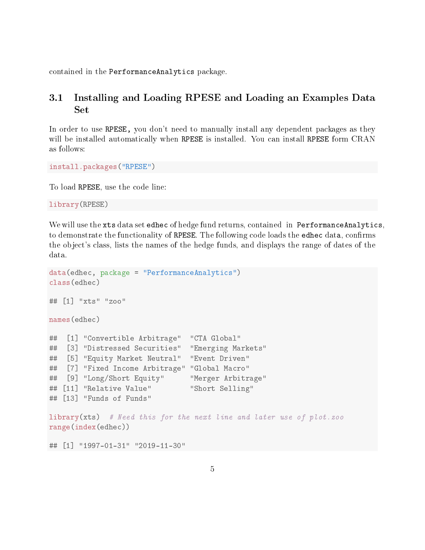contained in the PerformanceAnalytics package.

### 3.1 Installing and Loading RPESE and Loading an Examples Data Set

In order to use RPESE, you don't need to manually install any dependent packages as they will be installed automatically when RPESE is installed. You can install RPESE form CRAN as follows:

install.packages("RPESE")

To load RPESE, use the code line:

library(RPESE)

We will use the xts data set edhec of hedge fund returns, contained in PerformanceAnalytics, to demonstrate the functionality of RPESE. The following code loads the edhec data, confirms the object's class, lists the names of the hedge funds, and displays the range of dates of the data.

```
data(edhec, package = "PerformanceAnalytics")
class(edhec)
## [1] "xts" "zoo"
names(edhec)
## [1] "Convertible Arbitrage" "CTA Global"
## [3] "Distressed Securities" "Emerging Markets"
## [5] "Equity Market Neutral" "Event Driven"
## [7] "Fixed Income Arbitrage" "Global Macro"
## [9] "Long/Short Equity" "Merger Arbitrage"
## [11] "Relative Value" "Short Selling"
## [13] "Funds of Funds"
library(xts) # Need this for the next line and later use of plot.zoo
range(index(edhec))
## [1] "1997-01-31" "2019-11-30"
```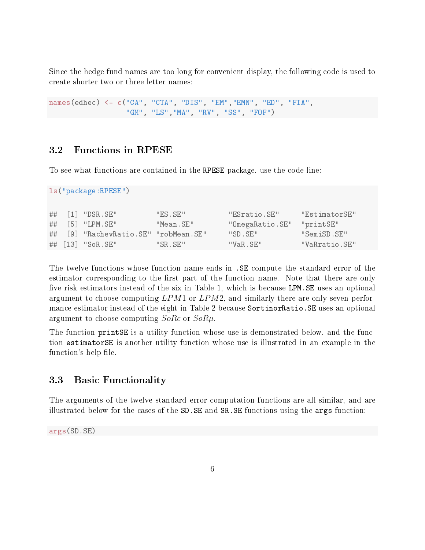Since the hedge fund names are too long for convenient display, the following code is used to create shorter two or three letter names:

names(edhec) <- c("CA", "CTA", "DIS", "EM","EMN", "ED", "FIA", "GM", "LS","MA", "RV", "SS", "FOF")

#### 3.2 Functions in RPESE

To see what functions are contained in the RPESE package, use the code line:

```
ls("package:RPESE")
```

|  | $\#$ # [1] "DSR.SE"                  | "FS.SE"   | "ESratio.SE"              | "EstimatorSE" |
|--|--------------------------------------|-----------|---------------------------|---------------|
|  | $\#$ # [5] "LPM.SE"                  | "Mean.SE" | "OmegaRatio.SE" "printSE" |               |
|  | ## [9] "RachevRatio.SE" "robMean.SE" |           | "SD SE"                   | "SemiSD.SE"   |
|  | ## $[13]$ "SoR.SE"                   | "SR SE"   | "VaR.SE"                  | "VaRratio.SE" |

The twelve functions whose function name ends in .SE compute the standard error of the estimator corresponding to the first part of the function name. Note that there are only five risk estimators instead of the six in Table 1, which is because LPM. SE uses an optional argument to choose computing LPM1 or LPM2, and similarly there are only seven performance estimator instead of the eight in Table 2 because SortinorRatio.SE uses an optional argument to choose computing  $SoRc$  or  $SoR\mu$ .

The function printSE is a utility function whose use is demonstrated below, and the function estimatorSE is another utility function whose use is illustrated in an example in the function's help file.

#### 3.3 Basic Functionality

The arguments of the twelve standard error computation functions are all similar, and are illustrated below for the cases of the SD.SE and SR.SE functions using the args function:

args(SD.SE)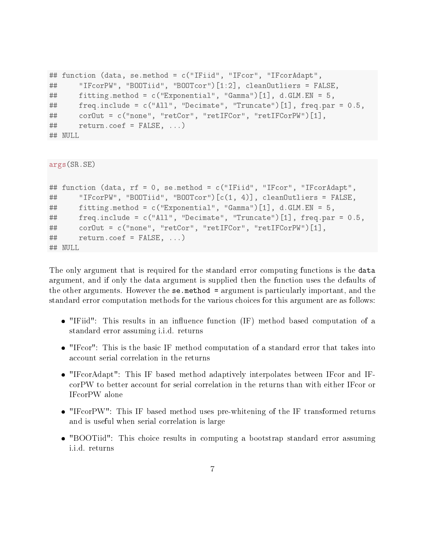```
## function (data, se.method = c("IFiid", "IFcor", "IFcorAdapt",
## "IFcorPW", "BOOTiid", "BOOTcor")[1:2], cleanOutliers = FALSE,
## fitting.method = c("Exponential", "Gamma")[1], d.GLM.EN = 5,
## freq.include = c("All", "Decimate", "Truncate")[1], freq.par = 0.5,
## corOut = c("none", "retCor", "retIFCor", "retIFCorPW")[1],
## return.coef = FALSE, ...)
## NULL
```

```
args(SR.SE)
```

```
## function (data, rf = 0, se.method = c("IFiid", "IFcor", "IFcorAdapt",
## "IFcorPW", "BOOTiid", "BOOTcor")[c(1, 4)], cleanOutliers = FALSE,
## fitting.method = c("Exponential", "Gamma")[1], d.GLM.EN = 5,
## freq.include = c("All", "Decimate", "Truncate")[1], freq.par = 0.5,
## corOut = c("none", "retCor", "retIFCor", "retIFCorPW")[1],
## return.coef = FALSE, ...)
## NULL
```
The only argument that is required for the standard error computing functions is the data argument, and if only the data argument is supplied then the function uses the defaults of the other arguments. However the se.method = argument is particularly important, and the standard error computation methods for the various choices for this argument are as follows:

- $\bullet$  "IFiid": This results in an influence function (IF) method based computation of a standard error assuming i.i.d. returns
- "IFcor": This is the basic IF method computation of a standard error that takes into account serial correlation in the returns
- "IFcorAdapt": This IF based method adaptively interpolates between IFcor and IFcorPW to better account for serial correlation in the returns than with either IFcor or IFcorPW alone
- "IFcorPW": This IF based method uses pre-whitening of the IF transformed returns and is useful when serial correlation is large
- "BOOTiid": This choice results in computing a bootstrap standard error assuming i.i.d. returns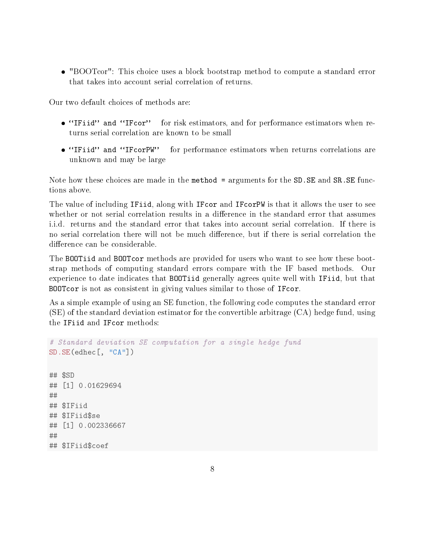"BOOTcor": This choice uses a block bootstrap method to compute a standard error that takes into account serial correlation of returns.

Our two default choices of methods are:

- "IFiid" and "IFcor" for risk estimators, and for performance estimators when returns serial correlation are known to be small
- "IFiid" and "IFcorPW" for performance estimators when returns correlations are unknown and may be large

Note how these choices are made in the method = arguments for the SD.SE and SR.SE functions above.

The value of including IFiid, along with IFcor and IFcorPW is that it allows the user to see whether or not serial correlation results in a difference in the standard error that assumes i.i.d. returns and the standard error that takes into account serial correlation. If there is no serial correlation there will not be much difference, but if there is serial correlation the difference can be considerable.

The BOOTiid and BOOTcor methods are provided for users who want to see how these bootstrap methods of computing standard errors compare with the IF based methods. Our experience to date indicates that BOOTiid generally agrees quite well with IFiid, but that BOOTcor is not as consistent in giving values similar to those of IFcor.

As a simple example of using an SE function, the following code computes the standard error (SE) of the standard deviation estimator for the convertible arbitrage (CA) hedge fund, using the IFiid and IFcor methods:

```
# Standard deviation SE computation for a single hedge fund
SD.SE(edhec[, "CA"])
## $SD
## [1] 0.01629694
##
## $IFiid
## $IFiid$se
## [1] 0.002336667
##
## $IFiid$coef
```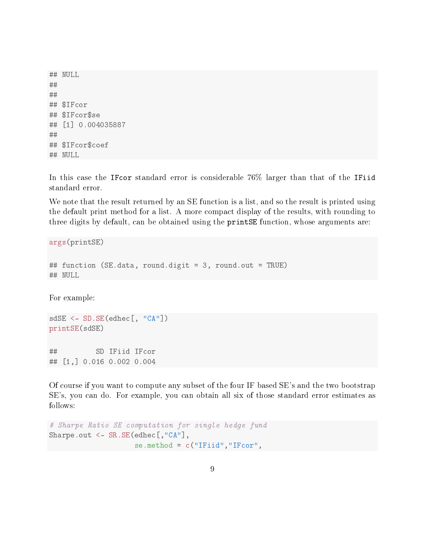## NULL ## ## ## \$IFcor ## \$IFcor\$se ## [1] 0.004035887 ## ## \$IFcor\$coef ## NULL

In this case the IFcor standard error is considerable 76% larger than that of the IFiid standard error.

We note that the result returned by an SE function is a list, and so the result is printed using the default print method for a list. A more compact display of the results, with rounding to three digits by default, can be obtained using the printSE function, whose arguments are:

args(printSE)

```
## function (SE.data, round.digit = 3, round.out = TRUE)
## NULL
```
For example:

```
sdSE <- SD.SE(edhec[, "CA"])
printSE(sdSE)
## SD IFiid IFcor
## [1,] 0.016 0.002 0.004
```
Of course if you want to compute any subset of the four IF based SE's and the two bootstrap SE's, you can do. For example, you can obtain all six of those standard error estimates as follows:

```
# Sharpe Ratio SE computation for single hedge fund
Sharpe.out <- SR.SE(edhec[,"CA"],
                    se.method = c("IFiid", "IFcor",
```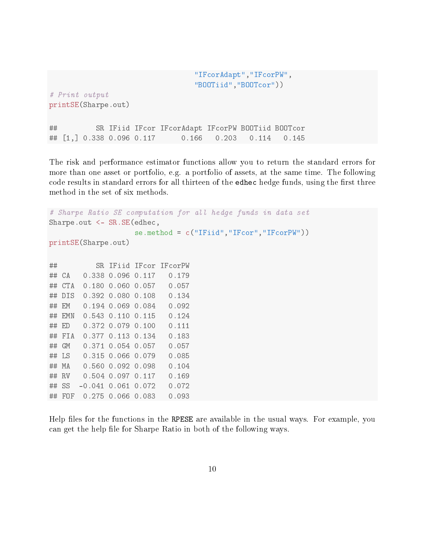"IFcorAdapt","IFcorPW", "BOOTiid","BOOTcor")) # Print output printSE(Sharpe.out) ## SR IFiid IFcor IFcorAdapt IFcorPW BOOTiid BOOTcor ## [1,] 0.338 0.096 0.117 0.166 0.203 0.114 0.145

The risk and performance estimator functions allow you to return the standard errors for more than one asset or portfolio, e.g. a portfolio of assets, at the same time. The following code results in standard errors for all thirteen of the edhec hedge funds, using the first three method in the set of six methods.

```
# Sharpe Ratio SE computation for all hedge funds in data set
Sharpe.out <- SR.SE(edhec,
                  se.method = c("IFiid","IFcor","IFcorPW"))
printSE(Sharpe.out)
## SR IFiid IFcor IFcorPW
## CA 0.338 0.096 0.117 0.179
## CTA 0.180 0.060 0.057 0.057
## DIS 0.392 0.080 0.108 0.134
## EM 0.194 0.069 0.084 0.092
## EMN 0.543 0.110 0.115 0.124
## ED 0.372 0.079 0.100 0.111
## FIA 0.377 0.113 0.134 0.183
## GM 0.371 0.054 0.057 0.057
## LS 0.315 0.066 0.079 0.085
## MA 0.560 0.092 0.098 0.104
## RV 0.504 0.097 0.117 0.169
## SS -0.041 0.061 0.072 0.072
## FOF 0.275 0.066 0.083 0.093
```
Help files for the functions in the RPESE are available in the usual ways. For example, you can get the help file for Sharpe Ratio in both of the following ways.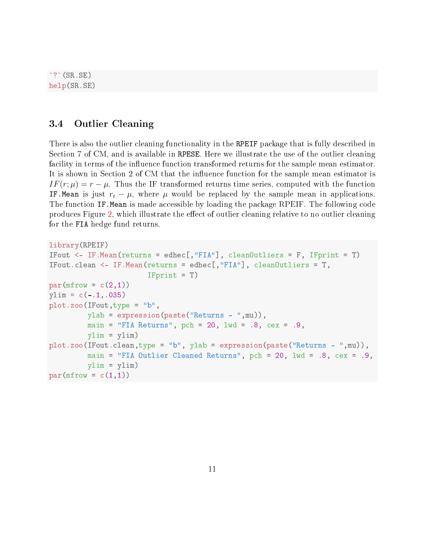$\cdot$ ? $(SR, SE)$ help(SR.SE)

#### 3.4 Outlier Cleaning

There is also the outlier cleaning functionality in the RPEIF package that is fully described in Section 7 of CM, and is available in RPESE. Here we illustrate the use of the outlier cleaning facility in terms of the influence function transformed returns for the sample mean estimator. It is shown in Section 2 of CM that the influence function for the sample mean estimator is  $IF(r; \mu) = r - \mu$ . Thus the IF transformed returns time series, computed with the function IF. Mean is just  $r_t - \mu$ , where  $\mu$  would be replaced by the sample mean in applications. The function IF.Mean is made accessible by loading the package RPEIF. The following code produces Figure [2,](#page-11-0) which illustrate the effect of outlier cleaning relative to no outlier cleaning for the FIA hedge fund returns.

```
library(RPEIF)
IFout <- IF.Mean(returns = edhec[,"FIA"], cleanOutliers = F, IFprint = T)
IFout.clean <- IF.Mean(returns = edhec[,"FIA"], cleanOutliers = T,
                       IFprint = T)
par(mfrow = c(2,1))ylim = c(-.1,.035)plot.zoo(IFout,type = "b",
         ylab = expression(paste("Returns - ",mu)),
         main = "FIA Returns", pch = 20, lwd = .8, cex = .9,
         ylim = ylim)
plot.zoo(IFout.clean,type = "b", ylab = expression(paste("Returns - ",mu)),
         main = "FIA Outlier Cleaned Returns", pch = 20, lwd = .8, cex = .9,
         ylim = ylim)
par(mfrow = c(1,1))
```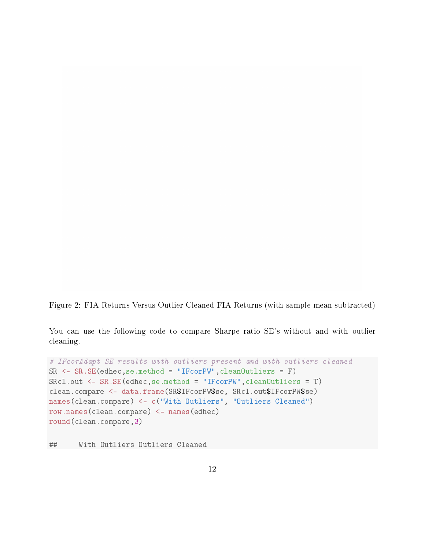<span id="page-11-0"></span>Figure 2: FIA Returns Versus Outlier Cleaned FIA Returns (with sample mean subtracted)

You can use the following code to compare Sharpe ratio SE's without and with outlier cleaning.

```
# IFcorAdapt SE results with outliers present and with outliers cleaned
SR <- SR.SE(edhec,se.method = "IFcorPW",cleanOutliers = F)
SRcl.out <- SR.SE(edhec,se.method = "IFcorPW",cleanOutliers = T)
clean.compare <- data.frame(SR$IFcorPW$se, SRcl.out$IFcorPW$se)
names(clean.compare) <- c("With Outliers", "Outliers Cleaned")
row.names(clean.compare) <- names(edhec)
round(clean.compare,3)
```
## With Outliers Outliers Cleaned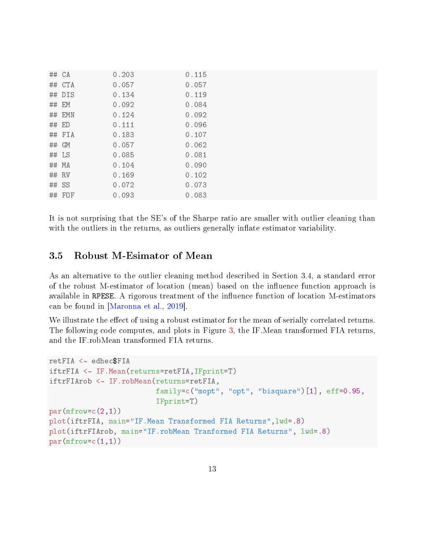| ## CA   |        | 0.203 | 0.115 |
|---------|--------|-------|-------|
|         | ## CTA | 0.057 | 0.057 |
|         | ## DIS | 0.134 | 0.119 |
| ## EM   |        | 0.092 | 0.084 |
|         | ## EMN | 0.124 | 0.092 |
| ## ED   |        | 0.111 | 0.096 |
|         | ## FIA | 0.183 | 0.107 |
| ## GM   |        | 0.057 | 0.062 |
| ## LS   |        | 0.085 | 0.081 |
| ## MA   |        | 0.104 | 0.090 |
| ## RV   |        | 0.169 | 0.102 |
| $##$ SS |        | 0.072 | 0.073 |
|         | ## FOF | 0.093 | 0.083 |

It is not surprising that the SE's of the Sharpe ratio are smaller with outlier cleaning than with the outliers in the returns, as outliers generally inflate estimator variability.

#### 3.5 Robust M-Esimator of Mean

As an alternative to the outlier cleaning method described in Section 3.4, a standard error of the robust M-estimator of location (mean) based on the influence function approach is available in RPESE. A rigorous treatment of the influence function of location M-estimators can be found in [\[Maronna et al.,](#page-17-2) [2019\]](#page-17-2).

We illustrate the effect of using a robust estimator for the mean of serially correlated returns. The following code computes, and plots in Figure [3,](#page-13-0) the IF.Mean transformed FIA returns, and the IF.robMean transformed FIA returns.

```
retFIA <- edhec$FIA
iftrFIA <- IF.Mean(returns=retFIA,IFprint=T)
iftrFIArob <- IF.robMean(returns=retFIA,
                         family=c("mopt", "opt", "bisquare")[1], eff=0.95,
                         IFprint=T)
par(mfrow=c(2,1))plot(iftrFIA, main="IF.Mean Transformed FIA Returns",lwd=.8)
plot(iftrFIArob, main="IF.robMean Tranformed FIA Returns", lwd=.8)
par(mfrow=c(1,1))
```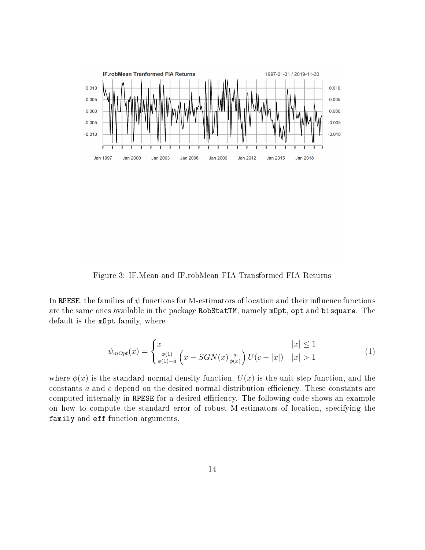

<span id="page-13-0"></span>Figure 3: IF.Mean and IF.robMean FIA Transformed FIA Returns

In RPESE, the families of  $\psi$  functions for M-estimators of location and their influence functions are the same ones available in the package RobStatTM, namely mOpt, opt and bisquare. The default is the mOpt family, where

$$
\psi_{mOpt}(x) = \begin{cases} x & |x| \le 1\\ \frac{\phi(1)}{\phi(1)-a} \left( x - SGN(x)\frac{a}{\phi(x)} \right) U(c-|x|) & |x| > 1 \end{cases}
$$
(1)

where  $\phi(x)$  is the standard normal density function,  $U(x)$  is the unit step function, and the constants  $a$  and  $c$  depend on the desired normal distribution efficiency. These constants are computed internally in RPESE for a desired efficiency. The following code shows an example on how to compute the standard error of robust M-estimators of location, specifying the family and eff function arguments.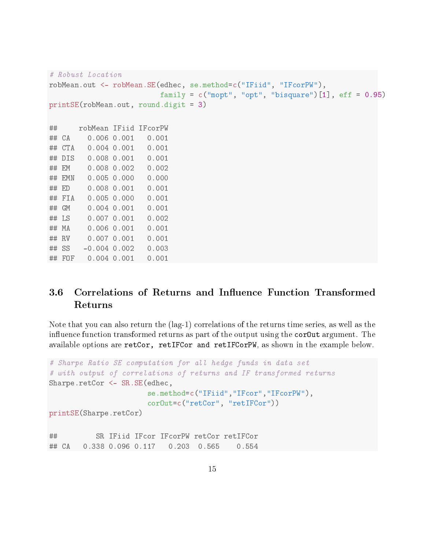```
# Robust Location
robMean.out <- robMean.SE(edhec, se.method=c("IFiid", "IFcorPW"),
                       family = c("mopt", "opt", "bisquare") [1], eff = 0.95)printSE(robMean.out, round.digit = 3)
## robMean IFiid IFcorPW
## CA 0.006 0.001 0.001
## CTA 0.004 0.001 0.001
## DIS 0.008 0.001 0.001
## EM 0.008 0.002 0.002
## EMN 0.005 0.000 0.000
## ED 0.008 0.001 0.001
## FIA 0.005 0.000 0.001
## GM 0.004 0.001 0.001
## LS 0.007 0.001 0.002
## MA 0.006 0.001 0.001
## RV 0.007 0.001 0.001
## SS -0.004 0.002 0.003
## FOF 0.004 0.001 0.001
```
### 3.6 Correlations of Returns and Influence Function Transformed Returns

Note that you can also return the (lag-1) correlations of the returns time series, as well as the influence function transformed returns as part of the output using the  $\text{cor}$ Out argument. The available options are retCor, retIFCor and retIFCorPW, as shown in the example below.

```
# Sharpe Ratio SE computation for all hedge funds in data set
# with output of correlations of returns and IF transformed returns
Sharpe.retCor <- SR.SE(edhec,
                       se.method=c("IFiid","IFcor","IFcorPW"),
                       corOut=c("retCor", "retIFCor"))
printSE(Sharpe.retCor)
```
## SR IFiid IFcor IFcorPW retCor retIFCor ## CA 0.338 0.096 0.117 0.203 0.565 0.554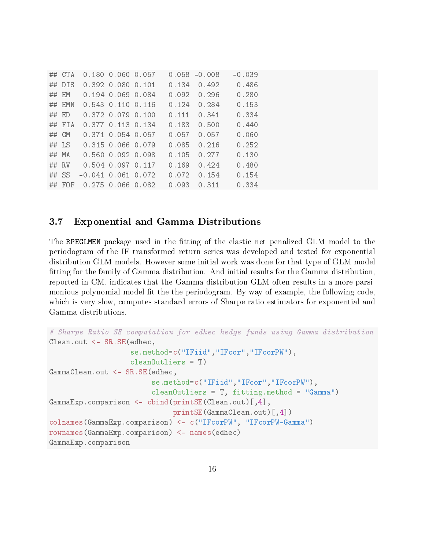| ## CTA   |                         | $0.180$ $0.060$ $0.057$ |       | $0.058 - 0.008$ | $-0.039$ |
|----------|-------------------------|-------------------------|-------|-----------------|----------|
| $##$ DIS |                         | 0.392 0.080 0.101       | 0.134 | 0.492           | 0.486    |
| $##$ EM  |                         | $0.194$ $0.069$ $0.084$ | 0.092 | 0.296           | 0.280    |
| $##$ EMN |                         | 0.543 0.110 0.116       | 0.124 | 0.284           | 0.153    |
| $##$ ED  | $0.372$ $0.079$ $0.100$ |                         | 0.111 | 0.341           | 0.334    |
| $##$ FIA | 0.377 0.113 0.134       |                         | 0.183 | 0.500           | 0.440    |
| ## GM    |                         | $0.371$ $0.054$ $0.057$ | 0.057 | 0.057           | 0.060    |
| $##$ LS  | 0.315 0.066 0.079       |                         | 0.085 | 0.216           | 0.252    |
| $##$ MA  |                         | $0.560$ $0.092$ $0.098$ | 0.105 | 0.277           | 0.130    |
| $##$ RV  | 0.504 0.097 0.117       |                         | 0.169 | 0.424           | 0.480    |
| $##$ SS  | $-0.041$ 0.061 0.072    |                         | 0.072 | 0.154           | 0.154    |
| $##$ FOF | 0.275 0.066 0.082       |                         | 0.093 | 0.311           | 0.334    |

#### 3.7 Exponential and Gamma Distributions

The RPEGLMEN package used in the fitting of the elastic net penalized GLM model to the periodogram of the IF transformed return series was developed and tested for exponential distribution GLM models. However some initial work was done for that type of GLM model tting for the family of Gamma distribution. And initial results for the Gamma distribution, reported in CM, indicates that the Gamma distribution GLM often results in a more parsimonious polynomial model fit the the periodogram. By way of example, the following code, which is very slow, computes standard errors of Sharpe ratio estimators for exponential and Gamma distributions.

```
# Sharpe Ratio SE computation for edhec hedge funds using Gamma distribution
Clean.out <- SR.SE(edhec,
                   se.method=c("IFiid","IFcor","IFcorPW"),
                   cleanOutliers = T)
GammaClean.out <- SR.SE(edhec,
                        se.method=c("IFiid","IFcor","IFcorPW"),
                        cleanOutliers = T, fitting.method = "Gamma")
GammaExp.comparison < -cbind(printSE(Clean.out)[,4],printSE(GammaClean.out)[,4])
colnames(GammaExp.comparison) <- c("IFcorPW", "IFcorPW-Gamma")
rownames(GammaExp.comparison) <- names(edhec)
GammaExp.comparison
```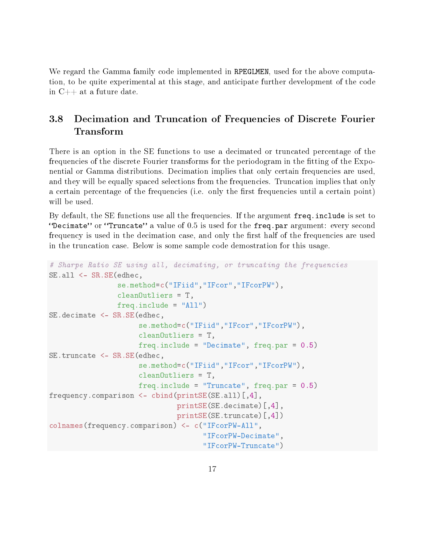We regard the Gamma family code implemented in RPEGLMEN, used for the above computation, to be quite experimental at this stage, and anticipate further development of the code in C++ at a future date.

### 3.8 Decimation and Truncation of Frequencies of Discrete Fourier Transform

There is an option in the SE functions to use a decimated or truncated percentage of the frequencies of the discrete Fourier transforms for the periodogram in the fitting of the Exponential or Gamma distributions. Decimation implies that only certain frequencies are used, and they will be equally spaced selections from the frequencies. Truncation implies that only a certain percentage of the frequencies (i.e. only the first frequencies until a certain point) will be used.

By default, the SE functions use all the frequencies. If the argument freq.include is set to "Decimate" or "Truncate" a value of  $0.5$  is used for the freq.par argument: every second frequency is used in the decimation case, and only the first half of the frequencies are used in the truncation case. Below is some sample code demostration for this usage.

```
# Sharpe Ratio SE using all, decimating, or truncating the frequencies
SE.all <- SR.SE(edhec,
                se.method=c("IFiid","IFcor","IFcorPW"),
                cleanOutliers = T,
                freq.include = "All")
SE.decimate <- SR.SE(edhec,
                     se.method=c("IFiid","IFcor","IFcorPW"),
                     cleanOutliers = T,
                     freq.include = "Decimate", freq.par = 0.5)
SE.truncate <- SR.SE(edhec,
                     se.method=c("IFiid","IFcor","IFcorPW"),
                     cleanOutliers = T,
                     freq.include = "Truncate", freq.par = 0.5)
frequency.comparison <- cbind(printSE(SE.all)[,4],
                              printSE(SE.decimate)[,4],
                              printSE(SE.truncate)[,4])
colnames(frequency.comparison) <- c("IFcorPW-All",
                                     "IFcorPW-Decimate",
                                     "IFcorPW-Truncate")
```